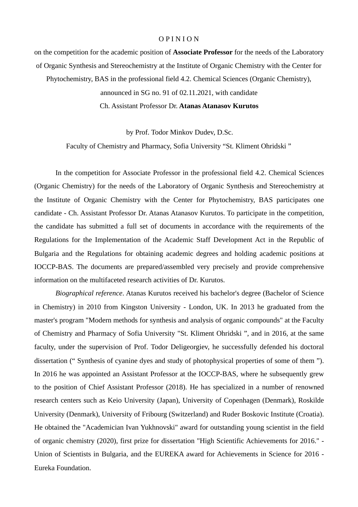## O P I N I O N

on the competition for the academic position of **Associate Professor** for the needs of the Laboratory of Organic Synthesis and Stereochemistry at the Institute of Organic Chemistry with the Center for

Phytochemistry, BAS in the professional field 4.2. Chemical Sciences (Organic Chemistry),

announced in SG no. 91 of 02.11.2021, with candidate

Ch. Assistant Professor Dr. **Atanas Atanasov Kurutos**

by Prof. Todor Minkov Dudev, D.Sc.

Faculty of Chemistry and Pharmacy, Sofia University "St. Kliment Ohridski "

 In the competition for Associate Professor in the professional field 4.2. Chemical Sciences (Organic Chemistry) for the needs of the Laboratory of Organic Synthesis and Stereochemistry at the Institute of Organic Chemistry with the Center for Phytochemistry, BAS participates one candidate - Ch. Assistant Professor Dr. Atanas Atanasov Kurutos. To participate in the competition, the candidate has submitted a full set of documents in accordance with the requirements of the Regulations for the Implementation of the Academic Staff Development Act in the Republic of Bulgaria and the Regulations for obtaining academic degrees and holding academic positions at IOCCP-BAS. The documents are prepared/assembled very precisely and provide comprehensive information on the multifaceted research activities of Dr. Kurutos.

*Biographical reference*. Atanas Kurutos received his bachelor's degree (Bachelor of Science in Chemistry) in 2010 from Kingston University - London, UK. In 2013 he graduated from the master's program "Modern methods for synthesis and analysis of organic compounds" at the Faculty of Chemistry and Pharmacy of Sofia University "St. Kliment Ohridski ", and in 2016, at the same faculty, under the supervision of Prof. Todor Deligeorgiev, he successfully defended his doctoral dissertation (" Synthesis of cyanine dyes and study of photophysical properties of some of them "). In 2016 he was appointed an Assistant Professor at the IOCCP-BAS, where he subsequently grew to the position of Chief Assistant Professor (2018). He has specialized in a number of renowned research centers such as Keio University (Japan), University of Copenhagen (Denmark), Roskilde University (Denmark), University of Fribourg (Switzerland) and Ruder Boskovic Institute (Croatia). He obtained the "Academician Ivan Yukhnovski" award for outstanding young scientist in the field of organic chemistry (2020), first prize for dissertation "High Scientific Achievements for 2016." - Union of Scientists in Bulgaria, and the EUREKA award for Achievements in Science for 2016 - Eureka Foundation.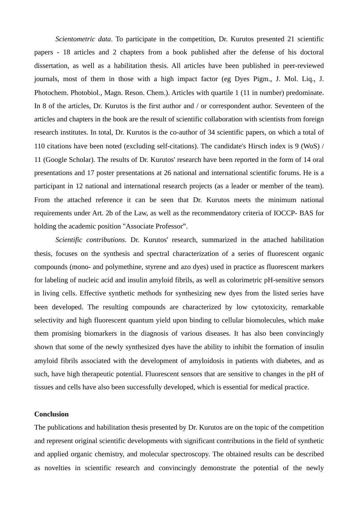*Scientometric data*. To participate in the competition, Dr. Kurutos presented 21 scientific papers - 18 articles and 2 chapters from a book published after the defense of his doctoral dissertation, as well as a habilitation thesis. All articles have been published in peer-reviewed journals, most of them in those with a high impact factor (eg Dyes Pigm., J. Mol. Liq., J. Photochem. Photobiol., Magn. Reson. Chem.). Articles with quartile 1 (11 in number) predominate. In 8 of the articles, Dr. Kurutos is the first author and / or correspondent author. Seventeen of the articles and chapters in the book are the result of scientific collaboration with scientists from foreign research institutes. In total, Dr. Kurutos is the co-author of 34 scientific papers, on which a total of 110 citations have been noted (excluding self-citations). The candidate's Hirsch index is 9 (WoS) / 11 (Google Scholar). The results of Dr. Kurutos' research have been reported in the form of 14 oral presentations and 17 poster presentations at 26 national and international scientific forums. He is a participant in 12 national and international research projects (as a leader or member of the team). From the attached reference it can be seen that Dr. Kurutos meets the minimum national requirements under Art. 2b of the Law, as well as the recommendatory criteria of IOCCP- BAS for holding the academic position "Associate Professor".

*Scientific contributions*. Dr. Kurutos' research, summarized in the attached habilitation thesis, focuses on the synthesis and spectral characterization of a series of fluorescent organic compounds (mono- and polymethine, styrene and azo dyes) used in practice as fluorescent markers for labeling of nucleic acid and insulin amyloid fibrils, as well as colorimetric pH-sensitive sensors in living cells. Effective synthetic methods for synthesizing new dyes from the listed series have been developed. The resulting compounds are characterized by low cytotoxicity, remarkable selectivity and high fluorescent quantum yield upon binding to cellular biomolecules, which make them promising biomarkers in the diagnosis of various diseases. It has also been convincingly shown that some of the newly synthesized dyes have the ability to inhibit the formation of insulin amyloid fibrils associated with the development of amyloidosis in patients with diabetes, and as such, have high therapeutic potential. Fluorescent sensors that are sensitive to changes in the pH of tissues and cells have also been successfully developed, which is essential for medical practice.

## **Conclusion**

The publications and habilitation thesis presented by Dr. Kurutos are on the topic of the competition and represent original scientific developments with significant contributions in the field of synthetic and applied organic chemistry, and molecular spectroscopy. The obtained results can be described as novelties in scientific research and convincingly demonstrate the potential of the newly